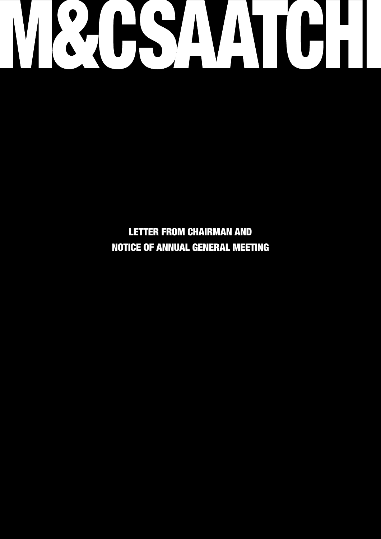

LETTER FROM CHAIRMAN AND NOTICE OF ANNUAL GENERAL MEETING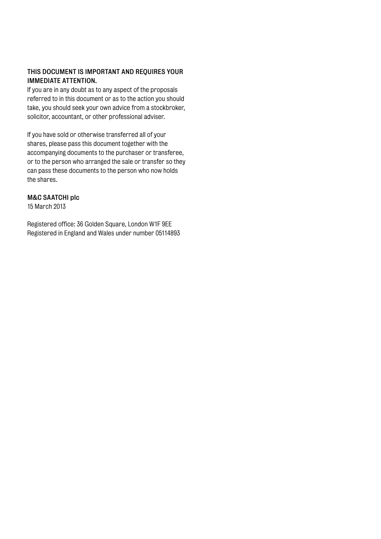## THIS DOCUMENT IS IMPORTANT AND REQUIRES YOUR IMMEDIATE ATTENTION.

If you are in any doubt as to any aspect of the proposals referred to in this document or as to the action you should take, you should seek your own advice from a stockbroker, solicitor, accountant, or other professional adviser.

If you have sold or otherwise transferred all of your shares, please pass this document together with the accompanying documents to the purchaser or transferee, or to the person who arranged the sale or transfer so they can pass these documents to the person who now holds the shares.

### M&C SAATCHI plc

15 March 2013

Registered office: 36 Golden Square, London W1F 9EE Registered in England and Wales under number 05114893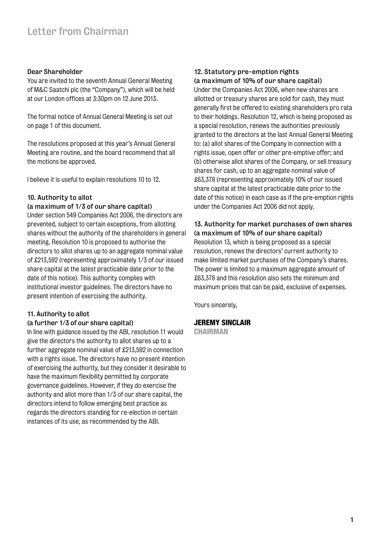#### Dear Shareholder

You are invited to the seventh Annual General Meeting of M&C Saatchi plc (the "Company"), which will be held at our London offices at 3:30pm on 12 June 2013.

The formal notice of Annual General Meeting is set out on page 1 of this document.

The resolutions proposed at this year's Annual General Meeting are routine, and the board recommend that all the motions be approved.

I believe it is useful to explain resolutions 10 to 12.

### 10. Authority to allot

#### (a maximum of 1/3 of our share capital)

Under section 549 Companies Act 2006, the directors are prevented, subject to certain exceptions, from allotting shares without the authority of the shareholders in general meeting. Resolution 10 is proposed to authorise the directors to allot shares up to an aggregate nominal value of £213,592 (representing approximately 1/3 of our issued share capital at the latest practicable date prior to the date of this notice). This authority complies with institutional investor guidelines. The directors have no present intention of exercising the authority.

## 11. Authority to allot

#### (a further 1/3 of our share capital)

In line with guidance issued by the ABI, resolution 11 would give the directors the authority to allot shares up to a further aggregate nominal value of £213,592 in connection with a rights issue. The directors have no present intention of exercising the authority, but they consider it desirable to have the maximum flexibility permitted by corporate governance guidelines. However, if they do exercise the authority and allot more than 1/3 of our share capital, the directors intend to follow emerging best practice as regards the directors standing for re-election in certain instances of its use, as recommended by the ABI.

#### 12. Statutory pre-emption rights (a maximum of 10% of our share capital)

Under the Companies Act 2006, when new shares are allotted or treasury shares are sold for cash, they must generally first be offered to existing shareholders pro rata to their holdings. Resolution 12, which is being proposed as a special resolution, renews the authorities previously granted to the directors at the last Annual General Meeting to: (a) allot shares of the Company in connection with a rights issue, open offer or other pre-emptive offer; and (b) otherwise allot shares of the Company, or sell treasury shares for cash, up to an aggregate nominal value of £63,378 (representing approximately 10% of our issued share capital at the latest practicable date prior to the date of this notice) in each case as if the pre-emption rights under the Companies Act 2006 did not apply.

# 13. Authority for market purchases of own shares (a maximum of 10% of our share capital)

Resolution 13, which is being proposed as a special resolution, renews the directors' current authority to make limited market purchases of the Company's shares. The power is limited to a maximum aggregate amount of £63,378 and this resolution also sets the minimum and maximum prices that can be paid, exclusive of expenses.

Yours sincerely,

### JEREMY SINCLAIR

**CHAIRMAN**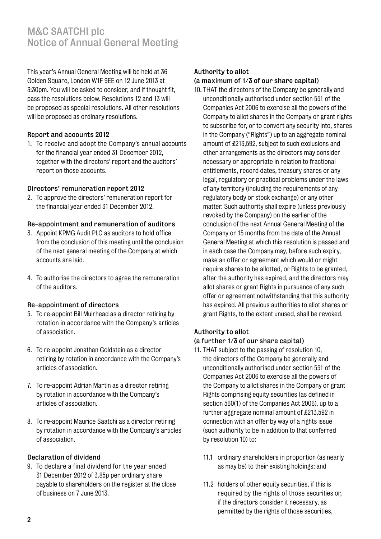# M&C SAATCHI plc Notice of Annual General Meeting

This year's Annual General Meeting will be held at 36 Golden Square, London W1F 9EE on 12 June 2013 at 3:30pm. You will be asked to consider, and if thought fit, pass the resolutions below. Resolutions 12 and 13 will be proposed as special resolutions. All other resolutions will be proposed as ordinary resolutions.

## Report and accounts 2012

1. To receive and adopt the Company's annual accounts for the financial year ended 31 December 2012, together with the directors' report and the auditors' report on those accounts.

## Directors' remuneration report 2012

2. To approve the directors' remuneration report for the financial year ended 31 December 2012.

# Re-appointment and remuneration of auditors

- 3. Appoint KPMG Audit PLC as auditors to hold office from the conclusion of this meeting until the conclusion of the next general meeting of the Company at which accounts are laid.
- 4. To authorise the directors to agree the remuneration of the auditors.

# Re-appointment of directors

- 5. To re-appoint Bill Muirhead as a director retiring by rotation in accordance with the Company's articles of association.
- 6. To re-appoint Jonathan Goldstein as a director retiring by rotation in accordance with the Company's articles of association.
- 7. To re-appoint Adrian Martin as a director retiring by rotation in accordance with the Company's articles of association.
- 8. To re-appoint Maurice Saatchi as a director retiring by rotation in accordance with the Company's articles of association.

# Declaration of dividend

9. To declare a final dividend for the year ended 31 December 2012 of 3.85p per ordinary share payable to shareholders on the register at the close of business on 7 June 2013.

# Authority to allot

## (a maximum of 1/3 of our share capital)

10. THAT the directors of the Company be generally and unconditionally authorised under section 551 of the Companies Act 2006 to exercise all the powers of the Company to allot shares in the Company or grant rights to subscribe for, or to convert any security into, shares in the Company ("Rights") up to an aggregate nominal amount of £213,592, subject to such exclusions and other arrangements as the directors may consider necessary or appropriate in relation to fractional entitlements, record dates, treasury shares or any legal, regulatory or practical problems under the laws of any territory (including the requirements of any regulatory body or stock exchange) or any other matter. Such authority shall expire (unless previously revoked by the Company) on the earlier of the conclusion of the next Annual General Meeting of the Company or 15 months from the date of the Annual General Meeting at which this resolution is passed and in each case the Company may, before such expiry, make an offer or agreement which would or might require shares to be allotted, or Rights to be granted, after the authority has expired, and the directors may allot shares or grant Rights in pursuance of any such offer or agreement notwithstanding that this authority has expired. All previous authorities to allot shares or grant Rights, to the extent unused, shall be revoked.

# Authority to allot

## (a further 1/3 of our share capital)

- 11. THAT subject to the passing of resolution 10, the directors of the Company be generally and unconditionally authorised under section 551 of the Companies Act 2006 to exercise all the powers of the Company to allot shares in the Company or grant Rights comprising equity securities (as defined in section 560(1) of the Companies Act 2006), up to a further aggregate nominal amount of £213,592 in connection with an offer by way of a rights issue (such authority to be in addition to that conferred by resolution 10) to:
	- 11.1 ordinary shareholders in proportion (as nearly as may be) to their existing holdings; and
	- 11.2 holders of other equity securities, if this is required by the rights of those securities or, if the directors consider it necessary, as permitted by the rights of those securities,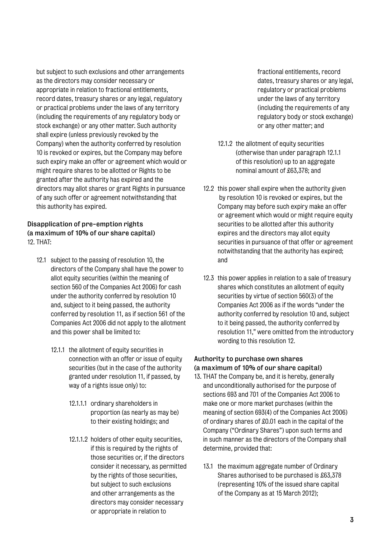but subject to such exclusions and other arrangements as the directors may consider necessary or appropriate in relation to fractional entitlements, record dates, treasury shares or any legal, regulatory or practical problems under the laws of any territory (including the requirements of any regulatory body or stock exchange) or any other matter. Such authority shall expire (unless previously revoked by the Company) when the authority conferred by resolution 10 is revoked or expires, but the Company may before such expiry make an offer or agreement which would or might require shares to be allotted or Rights to be granted after the authority has expired and the directors may allot shares or grant Rights in pursuance of any such offer or agreement notwithstanding that this authority has expired.

# Disapplication of pre-emption rights (a maximum of 10% of our share capital) 12. THAT:

- 12.1 subject to the passing of resolution 10, the directors of the Company shall have the power to allot equity securities (within the meaning of section 560 of the Companies Act 2006) for cash under the authority conferred by resolution 10 and, subject to it being passed, the authority conferred by resolution 11, as if section 561 of the Companies Act 2006 did not apply to the allotment and this power shall be limited to:
	- 12.1.1 the allotment of equity securities in connection with an offer or issue of equity securities (but in the case of the authority granted under resolution 11, if passed, by way of a rights issue only) to:
		- 12.1.1.1 ordinary shareholders in proportion (as nearly as may be) to their existing holdings; and
		- 12.1.1.2 holders of other equity securities, if this is required by the rights of those securities or, if the directors consider it necessary, as permitted by the rights of those securities, but subject to such exclusions and other arrangements as the directors may consider necessary or appropriate in relation to

fractional entitlements, record dates, treasury shares or any legal, regulatory or practical problems under the laws of any territory (including the requirements of any regulatory body or stock exchange) or any other matter; and

- 12.1.2 the allotment of equity securities (otherwise than under paragraph 12.1.1 of this resolution) up to an aggregate nominal amount of £63,378; and
- 12.2 this power shall expire when the authority given by resolution 10 is revoked or expires, but the Company may before such expiry make an offer or agreement which would or might require equity securities to be allotted after this authority expires and the directors may allot equity securities in pursuance of that offer or agreement notwithstanding that the authority has expired; and
- 12.3 this power applies in relation to a sale of treasury shares which constitutes an allotment of equity securities by virtue of section 560(3) of the Companies Act 2006 as if the words "under the authority conferred by resolution 10 and, subject to it being passed, the authority conferred by resolution 11," were omitted from the introductory wording to this resolution 12.

# Authority to purchase own shares (a maximum of 10% of our share capital)

- 13. THAT the Company be, and it is hereby, generally and unconditionally authorised for the purpose of sections 693 and 701 of the Companies Act 2006 to make one or more market purchases (within the meaning of section 693(4) of the Companies Act 2006) of ordinary shares of £0.01 each in the capital of the Company ("Ordinary Shares") upon such terms and in such manner as the directors of the Company shall determine, provided that:
	- 13.1 the maximum aggregate number of Ordinary Shares authorised to be purchased is £63,378 (representing 10% of the issued share capital of the Company as at 15 March 2012);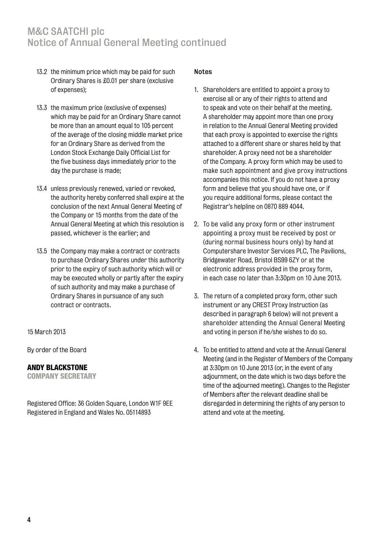# M&C SAATCHI plc Notice of Annual General Meeting continued

- 13.2 the minimum price which may be paid for such Ordinary Shares is £0.01 per share (exclusive of expenses);
- 13.3 the maximum price (exclusive of expenses) which may be paid for an Ordinary Share cannot be more than an amount equal to 105 percent of the average of the closing middle market price for an Ordinary Share as derived from the London Stock Exchange Daily Official List for the five business days immediately prior to the day the purchase is made;
- 13.4 unless previously renewed, varied or revoked, the authority hereby conferred shall expire at the conclusion of the next Annual General Meeting of the Company or 15 months from the date of the Annual General Meeting at which this resolution is passed, whichever is the earlier; and
- 13.5 the Company may make a contract or contracts to purchase Ordinary Shares under this authority prior to the expiry of such authority which will or may be executed wholly or partly after the expiry of such authority and may make a purchase of Ordinary Shares in pursuance of any such contract or contracts.

### 15 March 2013

By order of the Board

### ANDY BLACKSTONE

COMPANY SECRETARY

Registered Office: 36 Golden Square, London W1F 9EE Registered in England and Wales No. 05114893

#### Notes

- 1. Shareholders are entitled to appoint a proxy to exercise all or any of their rights to attend and to speak and vote on their behalf at the meeting. A shareholder may appoint more than one proxy in relation to the Annual General Meeting provided that each proxy is appointed to exercise the rights attached to a different share or shares held by that shareholder. A proxy need not be a shareholder of the Company. A proxy form which may be used to make such appointment and give proxy instructions accompanies this notice. If you do not have a proxy form and believe that you should have one, or if you require additional forms, please contact the Registrar's helpline on 0870 889 4044.
- 2. To be valid any proxy form or other instrument appointing a proxy must be received by post or (during normal business hours only) by hand at Computershare Investor Services PLC, The Pavilions, Bridgewater Road, Bristol BS99 6ZY or at the electronic address provided in the proxy form, in each case no later than 3:30pm on 10 June 2013.
- 3. The return of a completed proxy form, other such instrument or any CREST Proxy Instruction (as described in paragraph 6 below) will not prevent a shareholder attending the Annual General Meeting and voting in person if he/she wishes to do so.
- 4. To be entitled to attend and vote at the Annual General Meeting (and in the Register of Members of the Company at 3:30pm on 10 June 2013 (or, in the event of any adjournment, on the date which is two days before the time of the adjourned meeting). Changes to the Register of Members after the relevant deadline shall be disregarded in determining the rights of any person to attend and vote at the meeting.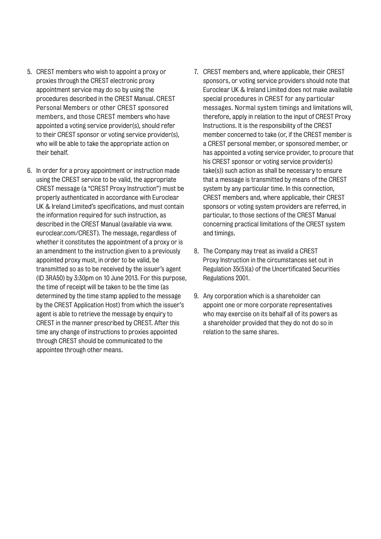- 5. CREST members who wish to appoint a proxy or proxies through the CREST electronic proxy appointment service may do so by using the procedures described in the CREST Manual. CREST Personal Members or other CREST sponsored members, and those CREST members who have appointed a voting service provider(s), should refer to their CREST sponsor or voting service provider(s), who will be able to take the appropriate action on their behalf.
- 6. In order for a proxy appointment or instruction made using the CREST service to be valid, the appropriate CREST message (a "CREST Proxy Instruction") must be properly authenticated in accordance with Euroclear UK & Ireland Limited's specifications, and must contain the information required for such instruction, as described in the CREST Manual (available via www. euroclear.com/CREST). The message, regardless of whether it constitutes the appointment of a proxy or is an amendment to the instruction given to a previously appointed proxy must, in order to be valid, be transmitted so as to be received by the issuer's agent (ID 3RA50) by 3:30pm on 10 June 2013. For this purpose, the time of receipt will be taken to be the time (as determined by the time stamp applied to the message by the CREST Application Host) from which the issuer's agent is able to retrieve the message by enquiry to CREST in the manner prescribed by CREST. After this time any change of instructions to proxies appointed through CREST should be communicated to the appointee through other means.
- 7. CREST members and, where applicable, their CREST sponsors, or voting service providers should note that Euroclear UK & Ireland Limited does not make available special procedures in CREST for any particular messages. Normal system timings and limitations will, therefore, apply in relation to the input of CREST Proxy Instructions. It is the responsibility of the CREST member concerned to take (or, if the CREST member is a CREST personal member, or sponsored member, or has appointed a voting service provider, to procure that his CREST sponsor or voting service provider(s) take(s)) such action as shall be necessary to ensure that a message is transmitted by means of the CREST system by any particular time. In this connection, CREST members and, where applicable, their CREST sponsors or voting system providers are referred, in particular, to those sections of the CREST Manual concerning practical limitations of the CREST system and timings.
- 8. The Company may treat as invalid a CREST Proxy Instruction in the circumstances set out in Regulation 35(5)(a) of the Uncertificated Securities Regulations 2001.
- 9. Any corporation which is a shareholder can appoint one or more corporate representatives who may exercise on its behalf all of its powers as a shareholder provided that they do not do so in relation to the same shares.